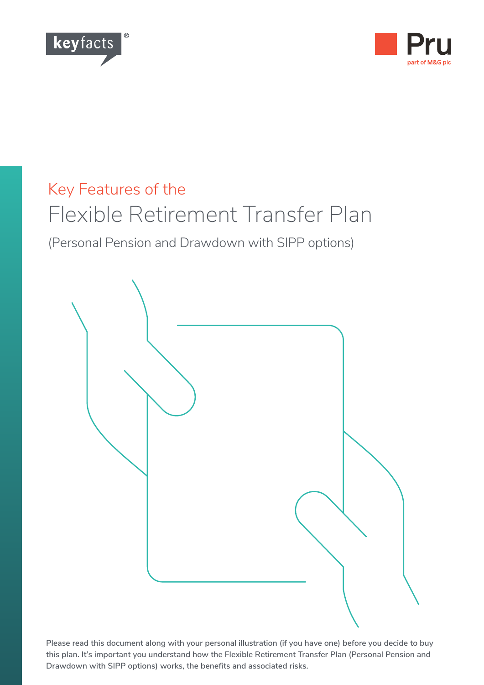



# Key Features of the Flexible Retirement Transfer Plan

(Personal Pension and Drawdown with SIPP options)



**Please read this document along with your personal illustration (if you have one) before you decide to buy this plan. It's important you understand how the Flexible Retirement Transfer Plan (Personal Pension and Drawdown with SIPP options) works, the benefits and associated risks.**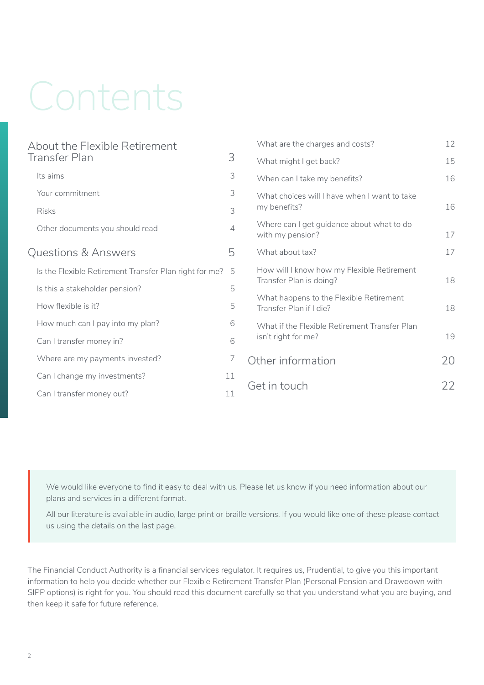# Contents

| About the Flexible Retirement                          |                | What are the charges and costs?                                       | 12 |
|--------------------------------------------------------|----------------|-----------------------------------------------------------------------|----|
| Transfer Plan                                          | 3              | What might I get back?                                                | 15 |
| Its aims                                               | 3              | When can I take my benefits?                                          | 16 |
| Your commitment                                        | 3              | What choices will I have when I want to take<br>my benefits?          |    |
| <b>Risks</b>                                           | 3              |                                                                       | 16 |
| Other documents you should read                        | $\overline{4}$ | Where can I get guidance about what to do<br>with my pension?         | 17 |
| Questions & Answers                                    | 5              | What about tax?                                                       | 17 |
| Is the Flexible Retirement Transfer Plan right for me? | 5              | How will I know how my Flexible Retirement<br>Transfer Plan is doing? | 18 |
| Is this a stakeholder pension?                         | 5              |                                                                       |    |
| How flexible is it?                                    | 5              | What happens to the Flexible Retirement<br>Transfer Plan if I die?    | 18 |
| How much can I pay into my plan?                       | 6              | What if the Flexible Retirement Transfer Plan<br>isn't right for me?  |    |
| Can I transfer money in?                               | 6              |                                                                       | 19 |
| Where are my payments invested?                        | 7              | Other information                                                     | 20 |
| Can I change my investments?                           | 11             |                                                                       |    |
| Can I transfer money out?                              | 11             | Get in touch                                                          | 22 |

We would like everyone to find it easy to deal with us. Please let us know if you need information about our plans and services in a different format.

All our literature is available in audio, large print or braille versions. If you would like one of these please contact us using the details on the last page.

The Financial Conduct Authority is a financial services regulator. It requires us, Prudential, to give you this important information to help you decide whether our Flexible Retirement Transfer Plan (Personal Pension and Drawdown with SIPP options) is right for you. You should read this document carefully so that you understand what you are buying, and then keep it safe for future reference.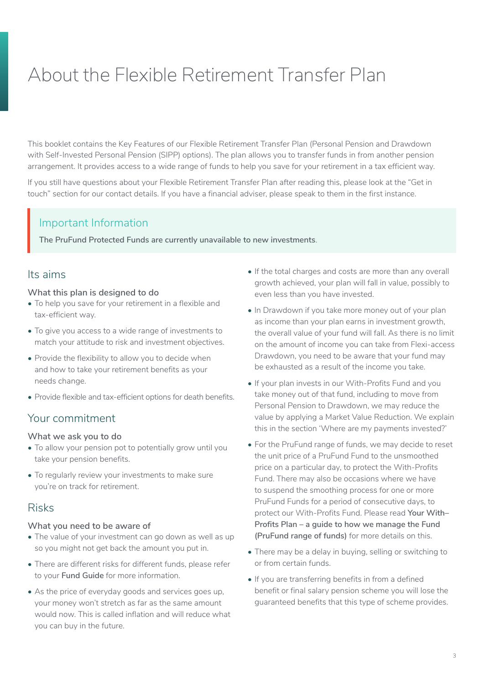# <span id="page-2-0"></span>About the Flexible Retirement Transfer Plan

This booklet contains the Key Features of our Flexible Retirement Transfer Plan (Personal Pension and Drawdown with Self-Invested Personal Pension (SIPP) options). The plan allows you to transfer funds in from another pension arrangement. It provides access to a wide range of funds to help you save for your retirement in a tax efficient way.

If you still have questions about your Flexible Retirement Transfer Plan after reading this, please look at the "Get in touch" section for our contact details. If you have a financial adviser, please speak to them in the first instance.

### Important Information

**The PruFund Protected Funds are currently unavailable to new investments**.

### Its aims

#### **What this plan is designed to do**

- To help you save for your retirement in a flexible and tax-efficient way.
- To give you access to a wide range of investments to match your attitude to risk and investment objectives.
- Provide the flexibility to allow you to decide when and how to take your retirement benefits as your needs change.
- Provide flexible and tax-efficient options for death benefits.

# Your commitment

#### **What we ask you to do**

- To allow your pension pot to potentially grow until you take your pension benefits.
- To regularly review your investments to make sure you're on track for retirement.

# Risks

#### **What you need to be aware of**

- The value of your investment can go down as well as up so you might not get back the amount you put in.
- There are different risks for different funds, please refer to your **Fund Guide** for more information.
- As the price of everyday goods and services goes up, your money won't stretch as far as the same amount would now. This is called inflation and will reduce what you can buy in the future.
- If the total charges and costs are more than any overall growth achieved, your plan will fall in value, possibly to even less than you have invested.
- ln Drawdown if you take more money out of your plan as income than your plan earns in investment growth, the overall value of your fund will fall. As there is no limit on the amount of income you can take from Flexi-access Drawdown, you need to be aware that your fund may be exhausted as a result of the income you take.
- If your plan invests in our With-Profits Fund and you take money out of that fund, including to move from Personal Pension to Drawdown, we may reduce the value by applying a Market Value Reduction. We explain this in the section 'Where are my payments invested?'
- For the PruFund range of funds, we may decide to reset the unit price of a PruFund Fund to the unsmoothed price on a particular day, to protect the With-Profits Fund. There may also be occasions where we have to suspend the smoothing process for one or more PruFund Funds for a period of consecutive days, to protect our With-Profits Fund. Please read **Your With– Profits Plan – a guide to how we manage the Fund (PruFund range of funds)** for more details on this.
- There may be a delay in buying, selling or switching to or from certain funds.
- If you are transferring benefits in from a defined benefit or final salary pension scheme you will lose the guaranteed benefits that this type of scheme provides.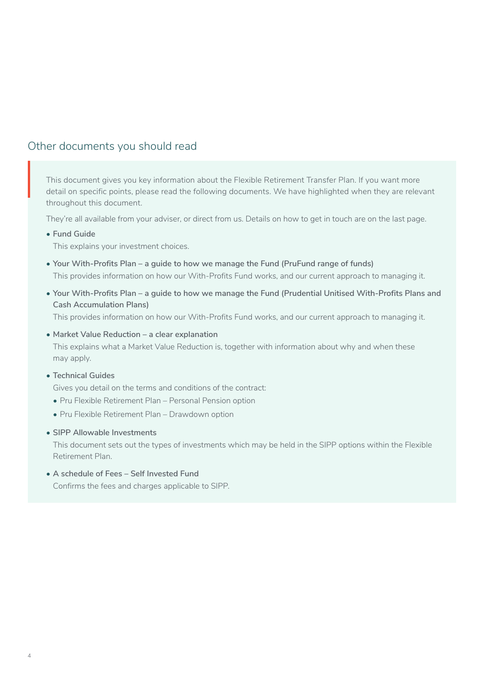# <span id="page-3-0"></span>Other documents you should read

This document gives you key information about the Flexible Retirement Transfer Plan. If you want more detail on specific points, please read the following documents. We have highlighted when they are relevant throughout this document.  $\left| \begin{array}{c} \mathsf{T} \mathsf{h} \\ \mathsf{de} \\ \mathsf{th} \end{array} \right|$ 

They're all available from your adviser, or direct from us. Details on how to get in touch are on the last page.

**• Fund Guide**

This explains your investment choices.

- **• Your With-Profits Plan a guide to how we manage the Fund (PruFund range of funds)** This provides information on how our With-Profits Fund works, and our current approach to managing it.
- **• Your With-Profits Plan a guide to how we manage the Fund (Prudential Unitised With-Profits Plans and Cash Accumulation Plans)**

This provides information on how our With-Profits Fund works, and our current approach to managing it.

**• Market Value Reduction – a clear explanation**

This explains what a Market Value Reduction is, together with information about why and when these may apply.

**• Technical Guides**

Gives you detail on the terms and conditions of the contract:

- Pru Flexible Retirement Plan Personal Pension option
- Pru Flexible Retirement Plan Drawdown option
- **• SIPP Allowable Investments**

This document sets out the types of investments which may be held in the SIPP options within the Flexible Retirement Plan.

**• A schedule of Fees – Self Invested Fund** Confirms the fees and charges applicable to SIPP.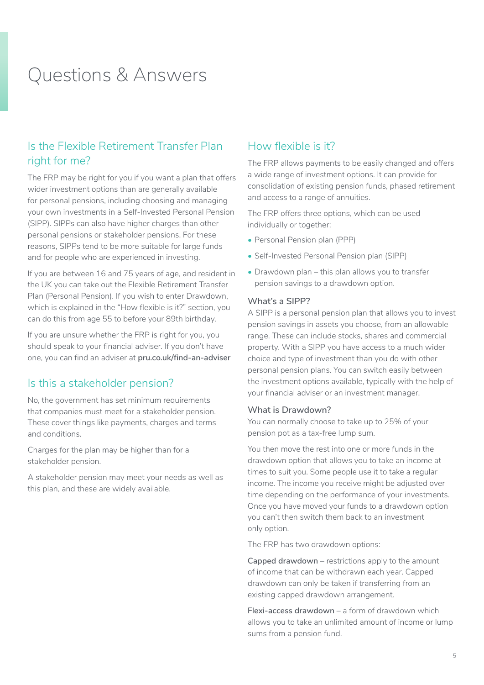# <span id="page-4-0"></span>Questions & Answers

# Is the Flexible Retirement Transfer Plan right for me?

The FRP may be right for you if you want a plan that offers wider investment options than are generally available for personal pensions, including choosing and managing your own investments in a Self-Invested Personal Pension (SIPP). SIPPs can also have higher charges than other personal pensions or stakeholder pensions. For these reasons, SIPPs tend to be more suitable for large funds and for people who are experienced in investing.

If you are between 16 and 75 years of age, and resident in the UK you can take out the Flexible Retirement Transfer Plan (Personal Pension). If you wish to enter Drawdown, which is explained in the "How flexible is it?" section, you can do this from age 55 to before your 89th birthday.

If you are unsure whether the FRP is right for you, you should speak to your financial adviser. If you don't have one, you can find an adviser at **[pru.co.uk/find-an-adviser](https://www.pru.co.uk/find-an-adviser/)**

### Is this a stakeholder pension?

No, the government has set minimum requirements that companies must meet for a stakeholder pension. These cover things like payments, charges and terms and conditions.

Charges for the plan may be higher than for a stakeholder pension.

A stakeholder pension may meet your needs as well as this plan, and these are widely available.

# How flexible is it?

The FRP allows payments to be easily changed and offers a wide range of investment options. It can provide for consolidation of existing pension funds, phased retirement and access to a range of annuities.

The FRP offers three options, which can be used individually or together:

- Personal Pension plan (PPP)
- Self-Invested Personal Pension plan (SIPP)
- Drawdown plan this plan allows you to transfer pension savings to a drawdown option.

#### **What's a SIPP?**

A SIPP is a personal pension plan that allows you to invest pension savings in assets you choose, from an allowable range. These can include stocks, shares and commercial property. With a SIPP you have access to a much wider choice and type of investment than you do with other personal pension plans. You can switch easily between the investment options available, typically with the help of your financial adviser or an investment manager.

#### **What is Drawdown?**

You can normally choose to take up to 25% of your pension pot as a tax-free lump sum.

You then move the rest into one or more funds in the drawdown option that allows you to take an income at times to suit you. Some people use it to take a regular income. The income you receive might be adjusted over time depending on the performance of your investments. Once you have moved your funds to a drawdown option you can't then switch them back to an investment only option.

The FRP has two drawdown options:

**Capped drawdown** – restrictions apply to the amount of income that can be withdrawn each year. Capped drawdown can only be taken if transferring from an existing capped drawdown arrangement.

**Flexi-access drawdown** – a form of drawdown which allows you to take an unlimited amount of income or lump sums from a pension fund.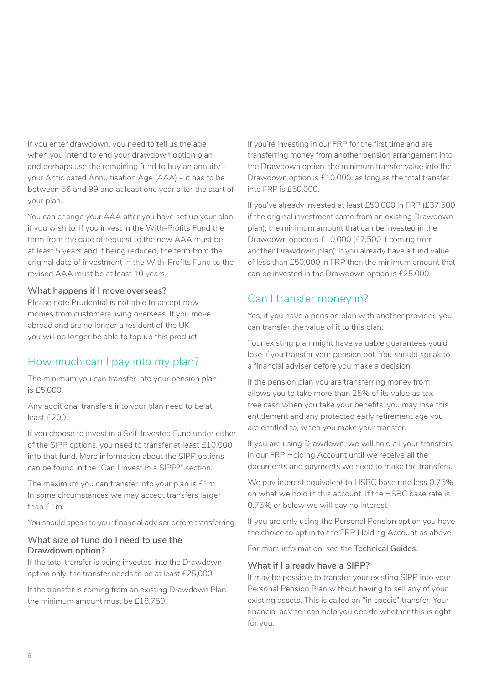<span id="page-5-0"></span>If you enter drawdown, you need to tell us the age when you intend to end your drawdown option plan and perhaps use the remaining fund to buy an annuity – your Anticipated Annuitisation Age (AAA) – it has to be between 56 and 99 and at least one year after the start of your plan.

You can change your AAA after you have set up your plan if you wish to. If you invest in the With-Profits Fund the term from the date of request to the new AAA must be at least 5 years and if being reduced, the term from the original date of investment in the With-Profits Fund to the revised AAA must be at least 10 years.

#### **What happens if I move overseas?**

Please note Prudential is not able to accept new monies from customers living overseas. If you move abroad and are no longer a resident of the UK you will no longer be able to top up this product.

# How much can I pay into my plan?

The minimum you can transfer into your pension plan is £5,000.

Any additional transfers into your plan need to be at least £200.

If you choose to invest in a Self-Invested Fund under either of the SIPP options, you need to transfer at least £10,000 into that fund. More information about the SIPP options can be found in the "Can I invest in a SIPP?" section.

The maximum you can transfer into your plan is £1m. In some circumstances we may accept transfers larger than £1m.

You should speak to your financial adviser before transferring.

#### **What size of fund do I need to use the Drawdown option?**

If the total transfer is being invested into the Drawdown option only, the transfer needs to be at least £25,000.

If the transfer is coming from an existing Drawdown Plan, the minimum amount must be £18,750.

If you're investing in our FRP for the first time and are transferring money from another pension arrangement into the Drawdown option, the minimum transfer value into the Drawdown option is £10,000, as long as the total transfer into FRP is £50,000.

If you've already invested at least £50,000 in FRP (£37,500 if the original investment came from an existing Drawdown plan), the minimum amount that can be invested in the Drawdown option is £10,000 (£7,500 if coming from another Drawdown plan). If you already have a fund value of less than £50,000 in FRP then the minimum amount that can be invested in the Drawdown option is £25,000.

# Can I transfer money in?

Yes, if you have a pension plan with another provider, you can transfer the value of it to this plan.

Your existing plan might have valuable guarantees you'd lose if you transfer your pension pot. You should speak to a financial adviser before you make a decision.

If the pension plan you are transferring money from allows you to take more than 25% of its value as tax free cash when you take your benefits, you may lose this entitlement and any protected early retirement age you are entitled to, when you make your transfer.

If you are using Drawdown, we will hold all your transfers in our FRP Holding Account until we receive all the documents and payments we need to make the transfers.

We pay interest equivalent to HSBC base rate less 0.75% on what we hold in this account. If the HSBC base rate is 0.75% or below we will pay no interest.

If you are only using the Personal Pension option you have the choice to opt in to the FRP Holding Account as above.

For more information, see the **Technical Guides**.

#### **What if I already have a SIPP?**

It may be possible to transfer your existing SIPP into your Personal Pension Plan without having to sell any of your existing assets. This is called an "in specie" transfer. Your financial adviser can help you decide whether this is right for you.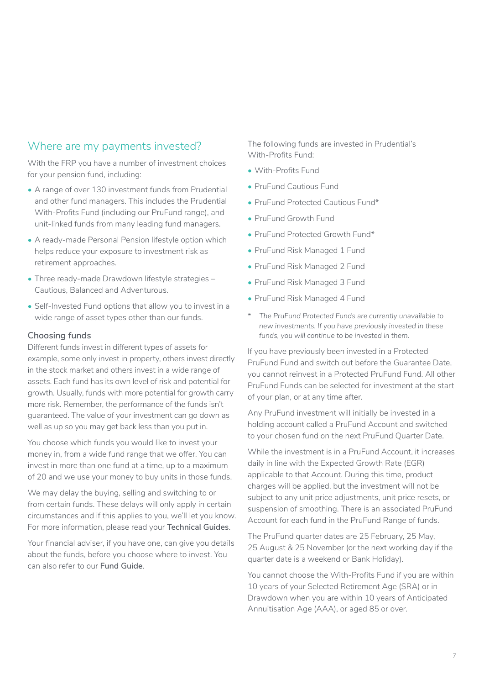# <span id="page-6-0"></span>Where are my payments invested?

With the FRP you have a number of investment choices for your pension fund, including:

- A range of over 130 investment funds from Prudential and other fund managers. This includes the Prudential With-Profits Fund (including our PruFund range), and unit-linked funds from many leading fund managers.
- A ready-made Personal Pension lifestyle option which helps reduce your exposure to investment risk as retirement approaches.
- Three ready-made Drawdown lifestyle strategies Cautious, Balanced and Adventurous.
- Self-lnvested Fund options that allow you to invest in a wide range of asset types other than our funds.

#### **Choosing funds**

Different funds invest in different types of assets for example, some only invest in property, others invest directly in the stock market and others invest in a wide range of assets. Each fund has its own level of risk and potential for growth. Usually, funds with more potential for growth carry more risk. Remember, the performance of the funds isn't guaranteed. The value of your investment can go down as well as up so you may get back less than you put in.

You choose which funds you would like to invest your money in, from a wide fund range that we offer. You can invest in more than one fund at a time, up to a maximum of 20 and we use your money to buy units in those funds.

We may delay the buying, selling and switching to or from certain funds. These delays will only apply in certain circumstances and if this applies to you, we'll let you know. For more information, please read your **Technical Guides**.

Your financial adviser, if you have one, can give you details about the funds, before you choose where to invest. You can also refer to our **Fund Guide**.

The following funds are invested in Prudential's With-Profits Fund:

- With-Profits Fund
- PruFund Cautious Fund
- PruFund Protected Cautious Fund\*
- PruFund Growth Fund
- PruFund Protected Growth Fund\*
- PruFund Risk Managed 1 Fund
- PruFund Risk Managed 2 Fund
- PruFund Risk Managed 3 Fund
- PruFund Risk Managed 4 Fund
- *\* The PruFund Protected Funds are currently unavailable to new investments. If you have previously invested in these funds, you will continue to be invested in them.*

If you have previously been invested in a Protected PruFund Fund and switch out before the Guarantee Date, you cannot reinvest in a Protected PruFund Fund. All other PruFund Funds can be selected for investment at the start of your plan, or at any time after.

Any PruFund investment will initially be invested in a holding account called a PruFund Account and switched to your chosen fund on the next PruFund Quarter Date.

While the investment is in a PruFund Account, it increases daily in line with the Expected Growth Rate (EGR) applicable to that Account. During this time, product charges will be applied, but the investment will not be subject to any unit price adjustments, unit price resets, or suspension of smoothing. There is an associated PruFund Account for each fund in the PruFund Range of funds.

The PruFund quarter dates are 25 February, 25 May, 25 August & 25 November (or the next working day if the quarter date is a weekend or Bank Holiday).

You cannot choose the With-Profits Fund if you are within 10 years of your Selected Retirement Age (SRA) or in Drawdown when you are within 10 years of Anticipated Annuitisation Age (AAA), or aged 85 or over.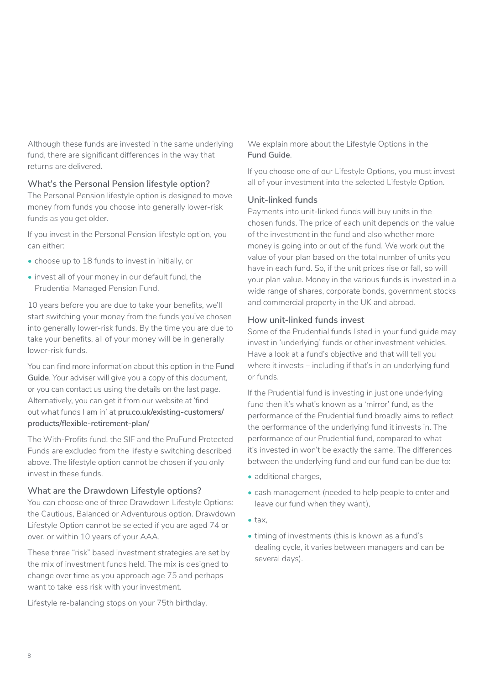Although these funds are invested in the same underlying fund, there are significant differences in the way that returns are delivered.

#### **What's the Personal Pension lifestyle option?**

The Personal Pension lifestyle option is designed to move money from funds you choose into generally lower-risk funds as you get older.

If you invest in the Personal Pension lifestyle option, you can either:

- choose up to 18 funds to invest in initially, or
- invest all of your money in our default fund, the Prudential Managed Pension Fund.

10 years before you are due to take your benefits, we'll start switching your money from the funds you've chosen into generally lower-risk funds. By the time you are due to take your benefits, all of your money will be in generally lower-risk funds.

You can find more information about this option in the **Fund Guide**. Your adviser will give you a copy of this document, or you can contact us using the details on the last page. Alternatively, you can get it from our website at 'find out what funds I am in' at **[pru.co.uk/existing-customers/](http://www.pru.co.uk/existing-customers/products/flexible-retirement-plan/) [products/flexible-retirement-plan/](http://www.pru.co.uk/existing-customers/products/flexible-retirement-plan/)**

The With-Profits fund, the SIF and the PruFund Protected Funds are excluded from the lifestyle switching described above. The lifestyle option cannot be chosen if you only invest in these funds.

#### **What are the Drawdown Lifestyle options?**

You can choose one of three Drawdown Lifestyle Options: the Cautious, Balanced or Adventurous option. Drawdown Lifestyle Option cannot be selected if you are aged 74 or over, or within 10 years of your AAA.

These three "risk" based investment strategies are set by the mix of investment funds held. The mix is designed to change over time as you approach age 75 and perhaps want to take less risk with your investment.

Lifestyle re-balancing stops on your 75th birthday.

We explain more about the Lifestyle Options in the **Fund Guide**.

If you choose one of our Lifestyle Options, you must invest all of your investment into the selected Lifestyle Option.

#### **Unit-linked funds**

Payments into unit-linked funds will buy units in the chosen funds. The price of each unit depends on the value of the investment in the fund and also whether more money is going into or out of the fund. We work out the value of your plan based on the total number of units you have in each fund. So, if the unit prices rise or fall, so will your plan value. Money in the various funds is invested in a wide range of shares, corporate bonds, government stocks and commercial property in the UK and abroad.

#### **How unit-linked funds invest**

Some of the Prudential funds listed in your fund guide may invest in 'underlying' funds or other investment vehicles. Have a look at a fund's objective and that will tell you where it invests – including if that's in an underlying fund or funds.

If the Prudential fund is investing in just one underlying fund then it's what's known as a 'mirror' fund, as the performance of the Prudential fund broadly aims to reflect the performance of the underlying fund it invests in. The performance of our Prudential fund, compared to what it's invested in won't be exactly the same. The differences between the underlying fund and our fund can be due to:

- additional charges,
- cash management (needed to help people to enter and leave our fund when they want),
- tax,
- timing of investments (this is known as a fund's dealing cycle, it varies between managers and can be several days).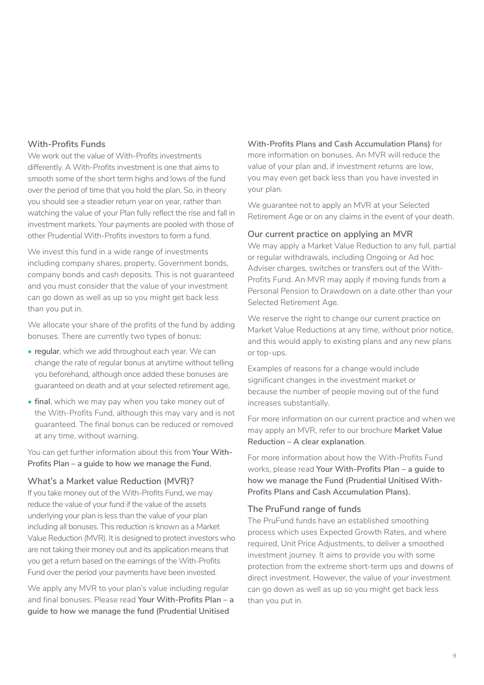#### **With-Profits Funds**

We work out the value of With-Profits investments differently. A With-Profits investment is one that aims to smooth some of the short term highs and lows of the fund over the period of time that you hold the plan. So, in theory you should see a steadier return year on year, rather than watching the value of your Plan fully reflect the rise and fall in investment markets. Your payments are pooled with those of other Prudential With-Profits investors to form a fund.

We invest this fund in a wide range of investments including company shares, property, Government bonds, company bonds and cash deposits. This is not guaranteed and you must consider that the value of your investment can go down as well as up so you might get back less than you put in.

We allocate your share of the profits of the fund by adding bonuses. There are currently two types of bonus:

- **• regular**, which we add throughout each year. We can change the rate of regular bonus at anytime without telling you beforehand, although once added these bonuses are guaranteed on death and at your selected retirement age,
- **• final**, which we may pay when you take money out of the With-Profits Fund, although this may vary and is not guaranteed. The final bonus can be reduced or removed at any time, without warning.

You can get further information about this from **Your With-Profits Plan – a guide to how we manage the Fund.**

#### **What's a Market value Reduction (MVR)?**

If you take money out of the With-Profits Fund, we may reduce the value of your fund if the value of the assets underlying your plan is less than the value of your plan including all bonuses. This reduction is known as a Market Value Reduction (MVR). It is designed to protect investors who are not taking their money out and its application means that you get a return based on the earnings of the With-Profits Fund over the period your payments have been invested.

We apply any MVR to your plan's value including regular and final bonuses. Please read **Your With-Profits Plan – a guide to how we manage the fund (Prudential Unitised** 

**With-Profits Plans and Cash Accumulation Plans)** for more information on bonuses. An MVR will reduce the value of your plan and, if investment returns are low, you may even get back less than you have invested in your plan.

We guarantee not to apply an MVR at your Selected Retirement Age or on any claims in the event of your death.

#### **Our current practice on applying an MVR**

We may apply a Market Value Reduction to any full, partial or regular withdrawals, including Ongoing or Ad hoc Adviser charges, switches or transfers out of the With-Profits Fund. An MVR may apply if moving funds from a Personal Pension to Drawdown on a date other than your Selected Retirement Age.

We reserve the right to change our current practice on Market Value Reductions at any time, without prior notice, and this would apply to existing plans and any new plans or top-ups.

Examples of reasons for a change would include significant changes in the investment market or because the number of people moving out of the fund increases substantially.

For more information on our current practice and when we may apply an MVR, refer to our brochure **Market Value Reduction – A clear explanation**.

For more information about how the With-Profits Fund works, please read **Your With-Profits Plan – a guide to how we manage the Fund (Prudential Unitised With-Profits Plans and Cash Accumulation Plans).**

#### **The PruFund range of funds**

The PruFund funds have an established smoothing process which uses Expected Growth Rates, and where required, Unit Price Adjustments, to deliver a smoothed investment journey. It aims to provide you with some protection from the extreme short-term ups and downs of direct investment. However, the value of your investment can go down as well as up so you might get back less than you put in.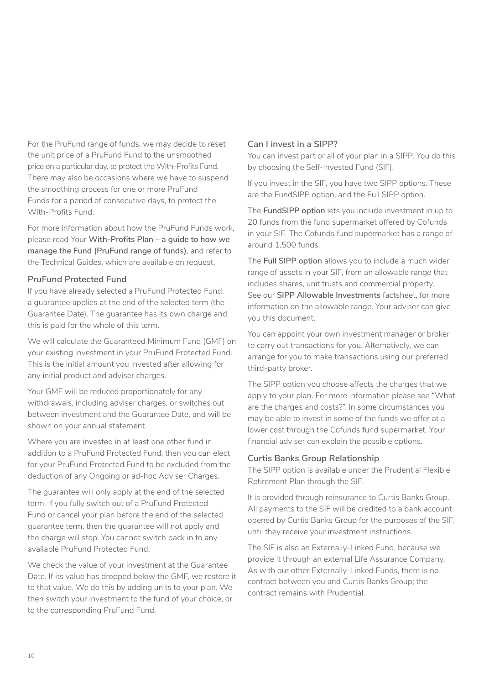For the PruFund range of funds, we may decide to reset the unit price of a PruFund Fund to the unsmoothed price on a particular day, to protect the With-Profits Fund. There may also be occasions where we have to suspend the smoothing process for one or more PruFund Funds for a period of consecutive days, to protect the With-Profits Fund.

For more information about how the PruFund Funds work, please read Your **With-Profits Plan – a guide to how we manage the Fund (PruFund range of funds)**, and refer to the Technical Guides, which are available on request.

#### **PruFund Protected Fund**

If you have already selected a PruFund Protected Fund, a guarantee applies at the end of the selected term (the Guarantee Date). The guarantee has its own charge and this is paid for the whole of this term.

We will calculate the Guaranteed Minimum Fund (GMF) on your existing investment in your PruFund Protected Fund. This is the initial amount you invested after allowing for any initial product and adviser charges.

Your GMF will be reduced proportionately for any withdrawals, including adviser charges, or switches out between investment and the Guarantee Date, and will be shown on your annual statement.

Where you are invested in at least one other fund in addition to a PruFund Protected Fund, then you can elect for your PruFund Protected Fund to be excluded from the deduction of any Ongoing or ad-hoc Adviser Charges.

The guarantee will only apply at the end of the selected term. If you fully switch out of a PruFund Protected Fund or cancel your plan before the end of the selected guarantee term, then the guarantee will not apply and the charge will stop. You cannot switch back in to any available PruFund Protected Fund.

We check the value of your investment at the Guarantee Date. If its value has dropped below the GMF, we restore it to that value. We do this by adding units to your plan. We then switch your investment to the fund of your choice, or to the corresponding PruFund Fund.

#### **Can I invest in a SIPP?**

You can invest part or all of your plan in a SIPP. You do this by choosing the Self-Invested Fund (SIF).

If you invest in the SIF, you have two SIPP options. These are the FundSlPP option, and the Full SIPP option.

The **FundSlPP option** lets you include investment in up to 20 funds from the fund supermarket offered by Cofunds in your SIF. The Cofunds fund supermarket has a range of around 1,500 funds.

The **Full SIPP option** allows you to include a much wider range of assets in your SIF, from an allowable range that includes shares, unit trusts and commercial property. See our **SIPP Allowable Investments** factsheet, for more information on the allowable range. Your adviser can give you this document.

You can appoint your own investment manager or broker to carry out transactions for you. Alternatively, we can arrange for you to make transactions using our preferred third-party broker.

The SIPP option you choose affects the charges that we apply to your plan. For more information please see "What are the charges and costs?". ln some circumstances you may be able to invest in some of the funds we offer at a lower cost through the Cofunds fund supermarket. Your financial adviser can explain the possible options.

#### **Curtis Banks Group Relationship**

The SIPP option is available under the Prudential Flexible Retirement Plan through the SIF.

It is provided through reinsurance to Curtis Banks Group. All payments to the SIF will be credited to a bank account opened by Curtis Banks Group for the purposes of the SIF, until they receive your investment instructions.

The SIF is also an Externally-Linked Fund, because we provide it through an external Life Assurance Company. As with our other Externally-Linked Funds, there is no contract between you and Curtis Banks Group; the contract remains with Prudential.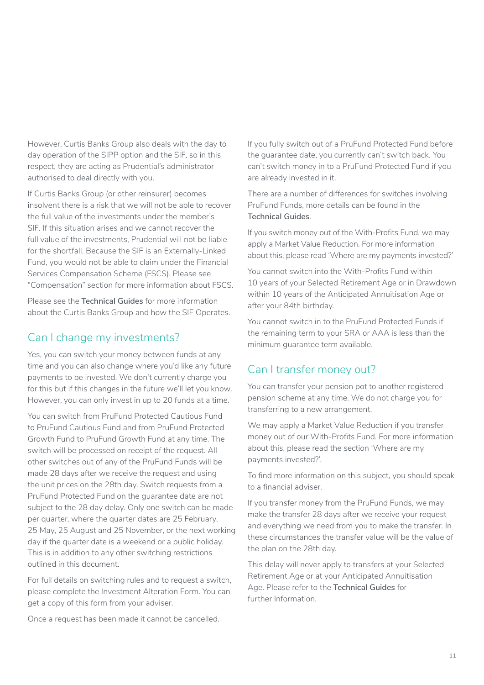<span id="page-10-0"></span>However, Curtis Banks Group also deals with the day to day operation of the SIPP option and the SIF, so in this respect, they are acting as Prudential's administrator authorised to deal directly with you.

If Curtis Banks Group (or other reinsurer) becomes insolvent there is a risk that we will not be able to recover the full value of the investments under the member's SlF. If this situation arises and we cannot recover the full value of the investments, Prudential will not be liable for the shortfall. Because the SIF is an Externally-Linked Fund, you would not be able to claim under the Financial Services Compensation Scheme (FSCS). Please see "Compensation" section for more information about FSCS.

Please see the **Technical Guides** for more information about the Curtis Banks Group and how the SIF Operates.

# Can I change my investments?

Yes, you can switch your money between funds at any time and you can also change where you'd like any future payments to be invested. We don't currently charge you for this but if this changes in the future we'll let you know. However, you can only invest in up to 20 funds at a time.

You can switch from PruFund Protected Cautious Fund to PruFund Cautious Fund and from PruFund Protected Growth Fund to PruFund Growth Fund at any time. The switch will be processed on receipt of the request. All other switches out of any of the PruFund Funds will be made 28 days after we receive the request and using the unit prices on the 28th day. Switch requests from a PruFund Protected Fund on the guarantee date are not subject to the 28 day delay. Only one switch can be made per quarter, where the quarter dates are 25 February, 25 May, 25 August and 25 November, or the next working day if the quarter date is a weekend or a public holiday. This is in addition to any other switching restrictions outlined in this document.

For full details on switching rules and to request a switch, please complete the Investment Alteration Form. You can get a copy of this form from your adviser.

Once a request has been made it cannot be cancelled.

If you fully switch out of a PruFund Protected Fund before the guarantee date, you currently can't switch back. You can't switch money in to a PruFund Protected Fund if you are already invested in it.

There are a number of differences for switches involving PruFund Funds, more details can be found in the **Technical Guides**.

If you switch money out of the With-Profits Fund, we may apply a Market Value Reduction. For more information about this, please read 'Where are my payments invested?'

You cannot switch into the With-Profits Fund within 10 years of your Selected Retirement Age or in Drawdown within 10 years of the Anticipated Annuitisation Age or after your 84th birthday.

You cannot switch in to the PruFund Protected Funds if the remaining term to your SRA or AAA is less than the minimum guarantee term available.

# Can I transfer money out?

You can transfer your pension pot to another registered pension scheme at any time. We do not charge you for transferring to a new arrangement.

We may apply a Market Value Reduction if you transfer money out of our With-Profits Fund. For more information about this, please read the section 'Where are my payments invested?'.

To find more information on this subject, you should speak to a financial adviser.

If you transfer money from the PruFund Funds, we may make the transfer 28 days after we receive your request and everything we need from you to make the transfer. In these circumstances the transfer value will be the value of the plan on the 28th day.

This delay will never apply to transfers at your Selected Retirement Age or at your Anticipated Annuitisation Age. Please refer to the **Technical Guides** for further Information.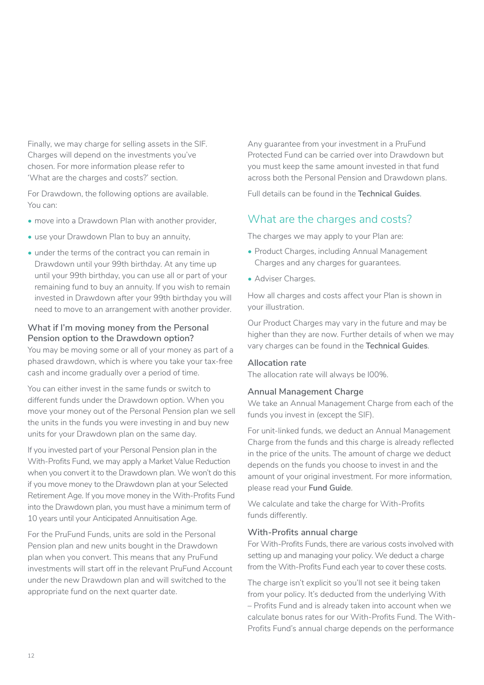<span id="page-11-0"></span>Finally, we may charge for selling assets in the SIF. Charges will depend on the investments you've chosen. For more information please refer to 'What are the charges and costs?' section.

For Drawdown, the following options are available. You can:

- move into a Drawdown Plan with another provider,
- use your Drawdown Plan to buy an annuity,
- under the terms of the contract you can remain in Drawdown until your 99th birthday. At any time up until your 99th birthday, you can use all or part of your remaining fund to buy an annuity. If you wish to remain invested in Drawdown after your 99th birthday you will need to move to an arrangement with another provider.

#### **What if I'm moving money from the Personal Pension option to the Drawdown option?**

You may be moving some or all of your money as part of a phased drawdown, which is where you take your tax-free cash and income gradually over a period of time.

You can either invest in the same funds or switch to different funds under the Drawdown option. When you move your money out of the Personal Pension plan we sell the units in the funds you were investing in and buy new units for your Drawdown plan on the same day.

If you invested part of your Personal Pension plan in the With-Profits Fund, we may apply a Market Value Reduction when you convert it to the Drawdown plan. We won't do this if you move money to the Drawdown plan at your Selected Retirement Age. If you move money in the With-Profits Fund into the Drawdown plan, you must have a minimum term of 10 years until your Anticipated Annuitisation Age.

For the PruFund Funds, units are sold in the Personal Pension plan and new units bought in the Drawdown plan when you convert. This means that any PruFund investments will start off in the relevant PruFund Account under the new Drawdown plan and will switched to the appropriate fund on the next quarter date.

Any guarantee from your investment in a PruFund Protected Fund can be carried over into Drawdown but you must keep the same amount invested in that fund across both the Personal Pension and Drawdown plans.

Full details can be found in the **Technical Guides**.

# What are the charges and costs?

The charges we may apply to your Plan are:

- Product Charges, including Annual Management Charges and any charges for guarantees.
- Adviser Charges.

How all charges and costs affect your Plan is shown in your illustration.

Our Product Charges may vary in the future and may be higher than they are now. Further details of when we may vary charges can be found in the **Technical Guides**.

#### **Allocation rate**

The allocation rate will always be l00%.

#### **Annual Management Charge**

We take an Annual Management Charge from each of the funds you invest in (except the SIF).

For unit-linked funds, we deduct an Annual Management Charge from the funds and this charge is already reflected in the price of the units. The amount of charge we deduct depends on the funds you choose to invest in and the amount of your original investment. For more information, please read your **Fund Guide**.

We calculate and take the charge for With-Profits funds differently.

#### **With-Profits annual charge**

For With-Profits Funds, there are various costs involved with setting up and managing your policy. We deduct a charge from the With-Profits Fund each year to cover these costs.

The charge isn't explicit so you'll not see it being taken from your policy. It's deducted from the underlying With – Profits Fund and is already taken into account when we calculate bonus rates for our With-Profits Fund. The With-Profits Fund's annual charge depends on the performance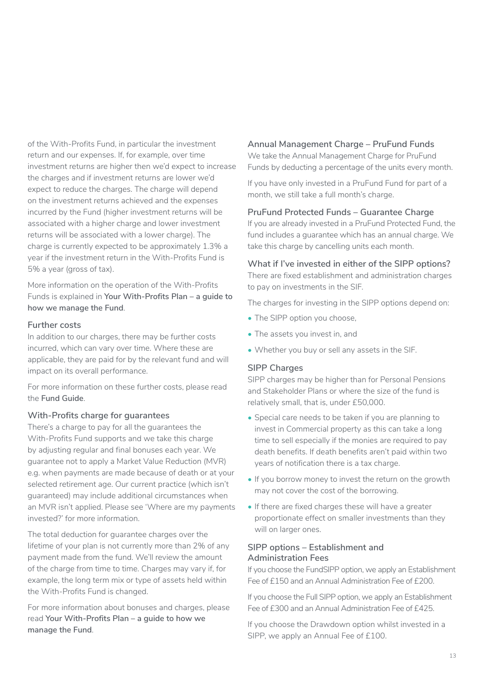of the With-Profits Fund, in particular the investment return and our expenses. If, for example, over time investment returns are higher then we'd expect to increase the charges and if investment returns are lower we'd expect to reduce the charges. The charge will depend on the investment returns achieved and the expenses incurred by the Fund (higher investment returns will be associated with a higher charge and lower investment returns will be associated with a lower charge). The charge is currently expected to be approximately 1.3% a year if the investment return in the With-Profits Fund is 5% a year (gross of tax).

More information on the operation of the With-Profits Funds is explained in **Your With-Profits Plan – a guide to how we manage the Fund**.

#### **Further costs**

In addition to our charges, there may be further costs incurred, which can vary over time. Where these are applicable, they are paid for by the relevant fund and will impact on its overall performance.

For more information on these further costs, please read the **Fund Guide**.

#### **With-Profits charge for guarantees**

There's a charge to pay for all the guarantees the With-Profits Fund supports and we take this charge by adjusting regular and final bonuses each year. We guarantee not to apply a Market Value Reduction (MVR) e.g. when payments are made because of death or at your selected retirement age. Our current practice (which isn't guaranteed) may include additional circumstances when an MVR isn't applied. Please see 'Where are my payments invested?' for more information.

The total deduction for guarantee charges over the lifetime of your plan is not currently more than 2% of any payment made from the fund. We'll review the amount of the charge from time to time. Charges may vary if, for example, the long term mix or type of assets held within the With-Profits Fund is changed.

For more information about bonuses and charges, please read **Your With-Profits Plan – a guide to how we manage the Fund**.

#### **Annual Management Charge – PruFund Funds**

We take the Annual Management Charge for PruFund Funds by deducting a percentage of the units every month.

If you have only invested in a PruFund Fund for part of a month, we still take a full month's charge.

#### **PruFund Protected Funds – Guarantee Charge**

If you are already invested in a PruFund Protected Fund, the fund includes a guarantee which has an annual charge. We take this charge by cancelling units each month.

#### **What if I've invested in either of the SIPP options?**

There are fixed establishment and administration charges to pay on investments in the SIF.

The charges for investing in the SIPP options depend on:

- The SIPP option you choose,
- The assets you invest in, and
- Whether you buy or sell any assets in the SIF.

#### **SIPP Charges**

SIPP charges may be higher than for Personal Pensions and Stakeholder Plans or where the size of the fund is relatively small, that is, under £50,000.

- Special care needs to be taken if you are planning to invest in Commercial property as this can take a long time to sell especially if the monies are required to pay death benefits. If death benefits aren't paid within two years of notification there is a tax charge.
- If you borrow money to invest the return on the growth may not cover the cost of the borrowing.
- If there are fixed charges these will have a greater proportionate effect on smaller investments than they will on larger ones.

#### **SIPP options – Establishment and Administration Fees**

If you choose the FundSlPP option, we apply an Establishment Fee of £150 and an Annual Administration Fee of £200.

If you choose the Full SIPP option, we apply an Establishment Fee of £300 and an Annual Administration Fee of £425.

If you choose the Drawdown option whilst invested in a SIPP, we apply an Annual Fee of £100.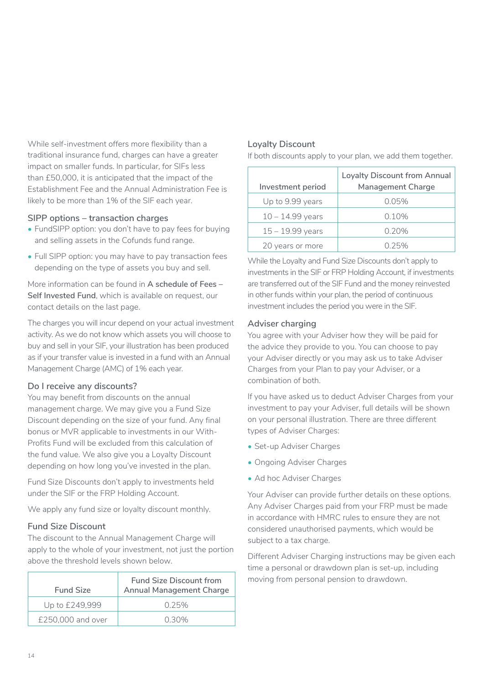While self-investment offers more flexibility than a traditional insurance fund, charges can have a greater impact on smaller funds. ln particular, for SIFs less than £50,000, it is anticipated that the impact of the Establishment Fee and the Annual Administration Fee is likely to be more than 1% of the SIF each year.

#### **SIPP options – transaction charges**

- FundSlPP option: you don't have to pay fees for buying and selling assets in the Cofunds fund range.
- Full SIPP option: you may have to pay transaction fees depending on the type of assets you buy and sell.

More information can be found in **A schedule of Fees – Self Invested Fund**, which is available on request, our contact details on the last page.

The charges you will incur depend on your actual investment activity. As we do not know which assets you will choose to buy and sell in your SIF, your illustration has been produced as if your transfer value is invested in a fund with an Annual Management Charge (AMC) of 1% each year.

#### **Do I receive any discounts?**

You may benefit from discounts on the annual management charge. We may give you a Fund Size Discount depending on the size of your fund. Any final bonus or MVR applicable to investments in our With-Profits Fund will be excluded from this calculation of the fund value. We also give you a Loyalty Discount depending on how long you've invested in the plan.

Fund Size Discounts don't apply to investments held under the SIF or the FRP Holding Account.

We apply any fund size or loyalty discount monthly.

#### **Fund Size Discount**

The discount to the Annual Management Charge will apply to the whole of your investment, not just the portion above the threshold levels shown below.

| <b>Fund Size</b>  | <b>Fund Size Discount from</b><br><b>Annual Management Charge</b> |
|-------------------|-------------------------------------------------------------------|
| Up to £249,999    | 0.25%                                                             |
| £250,000 and over | 0.30%                                                             |

#### **Loyalty Discount**

If both discounts apply to your plan, we add them together.

| Investment period  | <b>Loyalty Discount from Annual</b><br><b>Management Charge</b> |
|--------------------|-----------------------------------------------------------------|
| Up to 9.99 years   | 0.05%                                                           |
| $10 - 14.99$ years | 0.10%                                                           |
| $15 - 19.99$ years | 0.20%                                                           |
| 20 years or more   | 0.25%                                                           |

While the Loyalty and Fund Size Discounts don't apply to investments in the SIF or FRP Holding Account, if investments are transferred out of the SIF Fund and the money reinvested in other funds within your plan, the period of continuous investment includes the period you were in the SIF.

#### **Adviser charging**

You agree with your Adviser how they will be paid for the advice they provide to you. You can choose to pay your Adviser directly or you may ask us to take Adviser Charges from your Plan to pay your Adviser, or a combination of both.

If you have asked us to deduct Adviser Charges from your investment to pay your Adviser, full details will be shown on your personal illustration. There are three different types of Adviser Charges:

- Set-up Adviser Charges
- Ongoing Adviser Charges
- Ad hoc Adviser Charges

Your Adviser can provide further details on these options. Any Adviser Charges paid from your FRP must be made in accordance with HMRC rules to ensure they are not considered unauthorised payments, which would be subject to a tax charge.

Different Adviser Charging instructions may be given each time a personal or drawdown plan is set-up, including moving from personal pension to drawdown.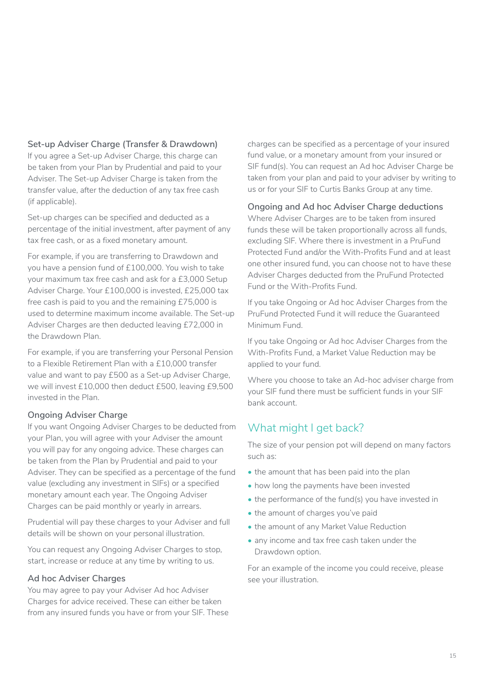#### <span id="page-14-0"></span>**Set-up Adviser Charge (Transfer & Drawdown)**

If you agree a Set-up Adviser Charge, this charge can be taken from your Plan by Prudential and paid to your Adviser. The Set-up Adviser Charge is taken from the transfer value, after the deduction of any tax free cash (if applicable).

Set-up charges can be specified and deducted as a percentage of the initial investment, after payment of any tax free cash, or as a fixed monetary amount.

For example, if you are transferring to Drawdown and you have a pension fund of £100,000. You wish to take your maximum tax free cash and ask for a £3,000 Setup Adviser Charge. Your £100,000 is invested, £25,000 tax free cash is paid to you and the remaining £75,000 is used to determine maximum income available. The Set-up Adviser Charges are then deducted leaving £72,000 in the Drawdown Plan.

For example, if you are transferring your Personal Pension to a Flexible Retirement Plan with a £10,000 transfer value and want to pay £500 as a Set-up Adviser Charge, we will invest £10,000 then deduct £500, leaving £9,500 invested in the Plan.

#### **Ongoing Adviser Charge**

If you want Ongoing Adviser Charges to be deducted from your Plan, you will agree with your Adviser the amount you will pay for any ongoing advice. These charges can be taken from the Plan by Prudential and paid to your Adviser. They can be specified as a percentage of the fund value (excluding any investment in SIFs) or a specified monetary amount each year. The Ongoing Adviser Charges can be paid monthly or yearly in arrears.

Prudential will pay these charges to your Adviser and full details will be shown on your personal illustration.

You can request any Ongoing Adviser Charges to stop, start, increase or reduce at any time by writing to us.

#### **Ad hoc Adviser Charges**

You may agree to pay your Adviser Ad hoc Adviser Charges for advice received. These can either be taken from any insured funds you have or from your SIF. These

charges can be specified as a percentage of your insured fund value, or a monetary amount from your insured or SIF fund(s). You can request an Ad hoc Adviser Charge be taken from your plan and paid to your adviser by writing to us or for your SIF to Curtis Banks Group at any time.

#### **Ongoing and Ad hoc Adviser Charge deductions**

Where Adviser Charges are to be taken from insured funds these will be taken proportionally across all funds, excluding SlF. Where there is investment in a PruFund Protected Fund and/or the With-Profits Fund and at least one other insured fund, you can choose not to have these Adviser Charges deducted from the PruFund Protected Fund or the With-Profits Fund.

If you take Ongoing or Ad hoc Adviser Charges from the PruFund Protected Fund it will reduce the Guaranteed Minimum Fund.

If you take Ongoing or Ad hoc Adviser Charges from the With-Profits Fund, a Market Value Reduction may be applied to your fund.

Where you choose to take an Ad-hoc adviser charge from your SIF fund there must be sufficient funds in your SIF bank account.

# What might I get back?

The size of your pension pot will depend on many factors such as:

- the amount that has been paid into the plan
- how long the payments have been invested
- the performance of the fund(s) you have invested in
- the amount of charges you've paid
- the amount of any Market Value Reduction
- any income and tax free cash taken under the Drawdown option.

For an example of the income you could receive, please see your illustration.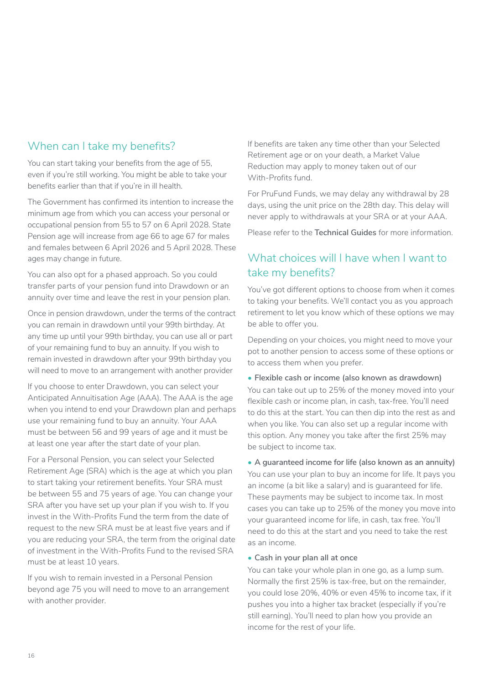# <span id="page-15-0"></span>When can I take my benefits?

You can start taking your benefits from the age of 55, even if you're still working. You might be able to take your benefits earlier than that if you're in ill health.

The Government has confirmed its intention to increase the minimum age from which you can access your personal or occupational pension from 55 to 57 on 6 April 2028. State Pension age will increase from age 66 to age 67 for males and females between 6 April 2026 and 5 April 2028. These ages may change in future.

You can also opt for a phased approach. So you could transfer parts of your pension fund into Drawdown or an annuity over time and leave the rest in your pension plan.

Once in pension drawdown, under the terms of the contract you can remain in drawdown until your 99th birthday. At any time up until your 99th birthday, you can use all or part of your remaining fund to buy an annuity. If you wish to remain invested in drawdown after your 99th birthday you will need to move to an arrangement with another provider

If you choose to enter Drawdown, you can select your Anticipated Annuitisation Age (AAA). The AAA is the age when you intend to end your Drawdown plan and perhaps use your remaining fund to buy an annuity. Your AAA must be between 56 and 99 years of age and it must be at least one year after the start date of your plan.

For a Personal Pension, you can select your Selected Retirement Age (SRA) which is the age at which you plan to start taking your retirement benefits. Your SRA must be between 55 and 75 years of age. You can change your SRA after you have set up your plan if you wish to. If you invest in the With-Profits Fund the term from the date of request to the new SRA must be at least five years and if you are reducing your SRA, the term from the original date of investment in the With-Profits Fund to the revised SRA must be at least 10 years.

If you wish to remain invested in a Personal Pension beyond age 75 you will need to move to an arrangement with another provider.

If benefits are taken any time other than your Selected Retirement age or on your death, a Market Value Reduction may apply to money taken out of our With-Profits fund.

For PruFund Funds, we may delay any withdrawal by 28 days, using the unit price on the 28th day. This delay will never apply to withdrawals at your SRA or at your AAA.

Please refer to the **Technical Guides** for more information.

# What choices will I have when I want to take my benefits?

You've got different options to choose from when it comes to taking your benefits. We'll contact you as you approach retirement to let you know which of these options we may be able to offer you.

Depending on your choices, you might need to move your pot to another pension to access some of these options or to access them when you prefer.

**• Flexible cash or income (also known as drawdown)**  You can take out up to 25% of the money moved into your flexible cash or income plan, in cash, tax-free. You'll need to do this at the start. You can then dip into the rest as and when you like. You can also set up a regular income with this option. Any money you take after the first 25% may be subject to income tax.

#### **• A guaranteed income for life (also known as an annuity)**

You can use your plan to buy an income for life. It pays you an income (a bit like a salary) and is guaranteed for life. These payments may be subject to income tax. In most cases you can take up to 25% of the money you move into your guaranteed income for life, in cash, tax free. You'll need to do this at the start and you need to take the rest as an income.

#### **• Cash in your plan all at once**

You can take your whole plan in one go, as a lump sum. Normally the first 25% is tax-free, but on the remainder, you could lose 20%, 40% or even 45% to income tax, if it pushes you into a higher tax bracket (especially if you're still earning). You'll need to plan how you provide an income for the rest of your life.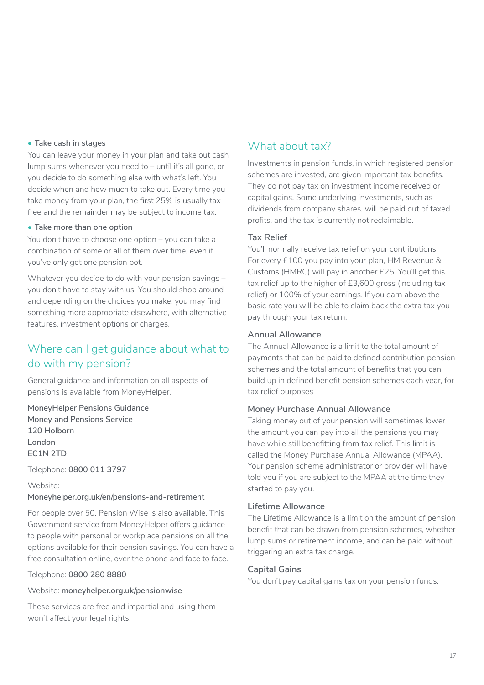#### <span id="page-16-0"></span>**• Take cash in stages**

You can leave your money in your plan and take out cash lump sums whenever you need to – until it's all gone, or you decide to do something else with what's left. You decide when and how much to take out. Every time you take money from your plan, the first 25% is usually tax free and the remainder may be subject to income tax.

#### **• Take more than one option**

You don't have to choose one option – you can take a combination of some or all of them over time, even if you've only got one pension pot.

Whatever you decide to do with your pension savings – you don't have to stay with us. You should shop around and depending on the choices you make, you may find something more appropriate elsewhere, with alternative features, investment options or charges.

# Where can I get guidance about what to do with my pension?

General guidance and information on all aspects of pensions is available from MoneyHelper.

**MoneyHelper Pensions Guidance Money and Pensions Service 120 Holborn London EC1N 2TD**

Telephone: **0800 011 3797**

Website:

#### **[Moneyhelper.org.uk/en/pensions-and-retirement](http://www.moneyhelper.org.uk/en/pensions-and-retirement)**

For people over 50, Pension Wise is also available. This Government service from MoneyHelper offers guidance to people with personal or workplace pensions on all the options available for their pension savings. You can have a free consultation online, over the phone and face to face.

#### Telephone: **0800 280 8880**

Website: **[moneyhelper.org.uk/pensionwise](http://www.moneyhelper.org.uk/pensionwise)**

These services are free and impartial and using them won't affect your legal rights.

# What about tax?

Investments in pension funds, in which registered pension schemes are invested, are given important tax benefits. They do not pay tax on investment income received or capital gains. Some underlying investments, such as dividends from company shares, will be paid out of taxed profits, and the tax is currently not reclaimable.

#### **Tax Relief**

You'll normally receive tax relief on your contributions. For every £100 you pay into your plan, HM Revenue & Customs (HMRC) will pay in another £25. You'll get this tax relief up to the higher of £3,600 gross (including tax relief) or 100% of your earnings. If you earn above the basic rate you will be able to claim back the extra tax you pay through your tax return.

#### **Annual Allowance**

The Annual Allowance is a limit to the total amount of payments that can be paid to defined contribution pension schemes and the total amount of benefits that you can build up in defined benefit pension schemes each year, for tax relief purposes

#### **Money Purchase Annual Allowance**

Taking money out of your pension will sometimes lower the amount you can pay into all the pensions you may have while still benefitting from tax relief. This limit is called the Money Purchase Annual Allowance (MPAA). Your pension scheme administrator or provider will have told you if you are subject to the MPAA at the time they started to pay you.

#### **Lifetime Allowance**

The Lifetime Allowance is a limit on the amount of pension benefit that can be drawn from pension schemes, whether lump sums or retirement income, and can be paid without triggering an extra tax charge.

#### **Capital Gains**

You don't pay capital gains tax on your pension funds.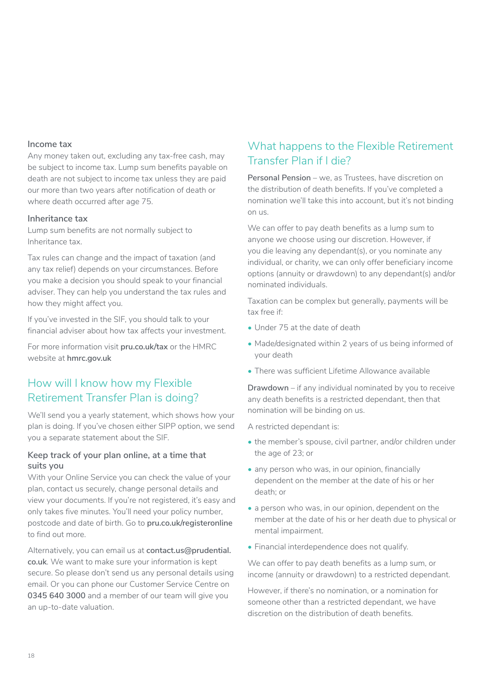#### <span id="page-17-0"></span>**Income tax**

Any money taken out, excluding any tax-free cash, may be subject to income tax. Lump sum benefits payable on death are not subject to income tax unless they are paid our more than two years after notification of death or where death occurred after age 75.

#### **Inheritance tax**

Lump sum benefits are not normally subject to Inheritance tax.

Tax rules can change and the impact of taxation (and any tax relief) depends on your circumstances. Before you make a decision you should speak to your financial adviser. They can help you understand the tax rules and how they might affect you.

If you've invested in the SIF, you should talk to your financial adviser about how tax affects your investment.

For more information visit **[pru.co.uk/tax](https://www.pru.co.uk/pensions-retirement/help-guides-and-articles/tax-information/?utm_source=redirect&utm_medium=301&utm_campaign=/tax)** or the HMRC website at **[hmrc.gov.uk](https://www.gov.uk/government/organisations/hm-revenue-customs)**

# How will I know how my Flexible Retirement Transfer Plan is doing?

We'll send you a yearly statement, which shows how your plan is doing. If you've chosen either SIPP option, we send you a separate statement about the SIF.

#### **Keep track of your plan online, at a time that suits you**

With your Online Service you can check the value of your plan, contact us securely, change personal details and view your documents. If you're not registered, it's easy and only takes five minutes. You'll need your policy number, postcode and date of birth. Go to **[pru.co.uk/registeronline](http://www.pru.co.uk/registeronline)** to find out more.

Alternatively, you can email us at **[contact.us@prudential.](mailto:contact.us%40prudential.co.uk?subject=) [co.uk](mailto:contact.us%40prudential.co.uk?subject=)**. We want to make sure your information is kept secure. So please don't send us any personal details using email. Or you can phone our Customer Service Centre on **0345 640 3000** and a member of our team will give you an up-to-date valuation.

# What happens to the Flexible Retirement Transfer Plan if I die?

**Personal Pension** – we, as Trustees, have discretion on the distribution of death benefits. If you've completed a nomination we'll take this into account, but it's not binding on us.

We can offer to pay death benefits as a lump sum to anyone we choose using our discretion. However, if you die leaving any dependant(s), or you nominate any individual, or charity, we can only offer beneficiary income options (annuity or drawdown) to any dependant(s) and/or nominated individuals.

Taxation can be complex but generally, payments will be tax free if:

- Under 75 at the date of death
- Made/designated within 2 years of us being informed of your death
- There was sufficient Lifetime Allowance available

**Drawdown** – if any individual nominated by you to receive any death benefits is a restricted dependant, then that nomination will be binding on us.

A restricted dependant is:

- the member's spouse, civil partner, and/or children under the age of 23; or
- any person who was, in our opinion, financially dependent on the member at the date of his or her death; or
- a person who was, in our opinion, dependent on the member at the date of his or her death due to physical or mental impairment.
- Financial interdependence does not qualify.

We can offer to pay death benefits as a lump sum, or income (annuity or drawdown) to a restricted dependant.

However, if there's no nomination, or a nomination for someone other than a restricted dependant, we have discretion on the distribution of death benefits.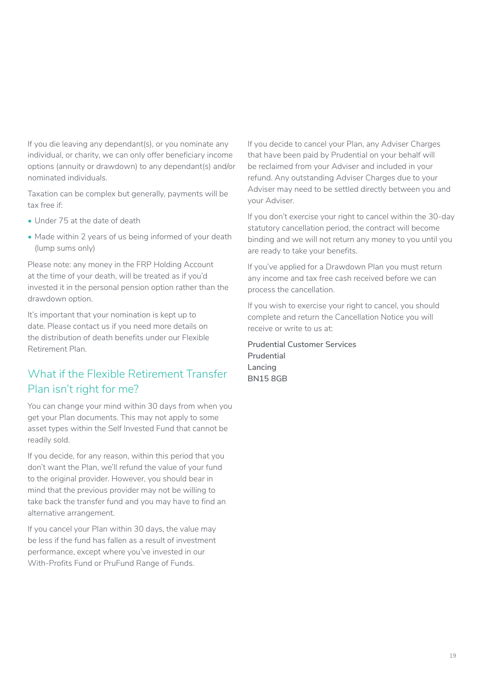<span id="page-18-0"></span>If you die leaving any dependant(s), or you nominate any individual, or charity, we can only offer beneficiary income options (annuity or drawdown) to any dependant(s) and/or nominated individuals.

Taxation can be complex but generally, payments will be tax free if:

- Under 75 at the date of death
- Made within 2 years of us being informed of your death (lump sums only)

Please note: any money in the FRP Holding Account at the time of your death, will be treated as if you'd invested it in the personal pension option rather than the drawdown option.

It's important that your nomination is kept up to date. Please contact us if you need more details on the distribution of death benefits under our Flexible Retirement Plan.

# What if the Flexible Retirement Transfer Plan isn't right for me?

You can change your mind within 30 days from when you get your Plan documents. This may not apply to some asset types within the Self Invested Fund that cannot be readily sold.

If you decide, for any reason, within this period that you don't want the Plan, we'll refund the value of your fund to the original provider. However, you should bear in mind that the previous provider may not be willing to take back the transfer fund and you may have to find an alternative arrangement.

If you cancel your Plan within 30 days, the value may be less if the fund has fallen as a result of investment performance, except where you've invested in our With-Profits Fund or PruFund Range of Funds.

If you decide to cancel your Plan, any Adviser Charges that have been paid by Prudential on your behalf will be reclaimed from your Adviser and included in your refund. Any outstanding Adviser Charges due to your Adviser may need to be settled directly between you and your Adviser.

If you don't exercise your right to cancel within the 30-day statutory cancellation period, the contract will become binding and we will not return any money to you until you are ready to take your benefits.

If you've applied for a Drawdown Plan you must return any income and tax free cash received before we can process the cancellation.

If you wish to exercise your right to cancel, you should complete and return the Cancellation Notice you will receive or write to us at:

**Prudential Customer Services Prudential Lancing BN15 8GB**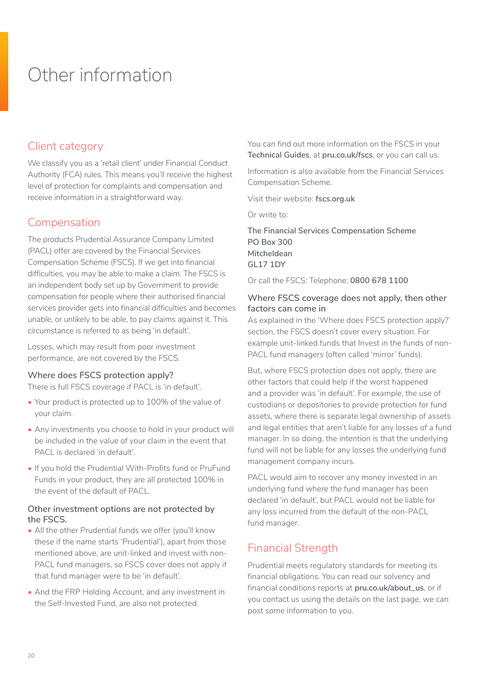# <span id="page-19-0"></span>Other information

# Client category

We classify you as a 'retail client' under Financial Conduct Authority (FCA) rules. This means you'll receive the highest level of protection for complaints and compensation and receive information in a straightforward way.

# Compensation

The products Prudential Assurance Company Limited (PACL) offer are covered by the Financial Services Compensation Scheme (FSCS). If we get into financial difficulties, you may be able to make a claim. The FSCS is an independent body set up by Government to provide compensation for people where their authorised financial services provider gets into financial difficulties and becomes unable, or unlikely to be able, to pay claims against it. This circumstance is referred to as being 'in default'.

Losses, which may result from poor investment performance, are not covered by the FSCS.

#### **Where does FSCS protection apply?**

There is full FSCS coverage if PACL is 'in default'.

- Your product is protected up to 100% of the value of your claim.
- Any investments you choose to hold in your product will be included in the value of your claim in the event that PACL is declared 'in default'.
- If you hold the Prudential With-Profits fund or PruFund Funds in your product, they are all protected 100% in the event of the default of PACL.

#### **Other investment options are not protected by the FSCS.**

- All the other Prudential funds we offer (you'll know these if the name starts 'Prudential'), apart from those mentioned above, are unit-linked and invest with non-PACL fund managers, so FSCS cover does not apply if that fund manager were to be 'in default'.
- And the FRP Holding Account, and any investment in the Self-lnvested Fund, are also not protected.

You can find out more information on the FSCS in your **Technical Guides**, at **[pru.co.uk/fscs](http://www.pru.co.uk/fscs)**, or you can call us.

Information is also available from the Financial Services Compensation Scheme.

Visit their website: **[fscs.org.uk](http://www.fscs.org.uk)**

Or write to:

**The Financial Services Compensation Scheme PO Box 300 Mitcheldean GL17 1DY**

Or call the FSCS: Telephone: **0800 678 1100**

#### **Where FSCS coverage does not apply, then other factors can come in**

As explained in the 'Where does FSCS protection apply?' section, the FSCS doesn't cover every situation. For example unit-linked funds that Invest in the funds of non-PACL fund managers (often called 'mirror' funds).

But, where FSCS protection does not apply, there are other factors that could help if the worst happened and a provider was 'in default'. For example, the use of custodians or depositories to provide protection for fund assets, where there is separate legal ownership of assets and legal entities that aren't liable for any losses of a fund manager. ln so doing, the intention is that the underlying fund will not be liable for any losses the underlying fund management company incurs.

PACL would aim to recover any money invested in an underlying fund where the fund manager has been declared 'in default', but PACL would not be liable for any loss incurred from the default of the non-PACL fund manager.

# Financial Strength

Prudential meets regulatory standards for meeting its financial obligations. You can read our solvency and financial conditions reports at **[pru.co.uk/about\\_us](https://www.pru.co.uk/about/?utm_source=redirect&utm_medium=301&utm_campaign=/about_us/)**, or if you contact us using the details on the last page, we can post some information to you.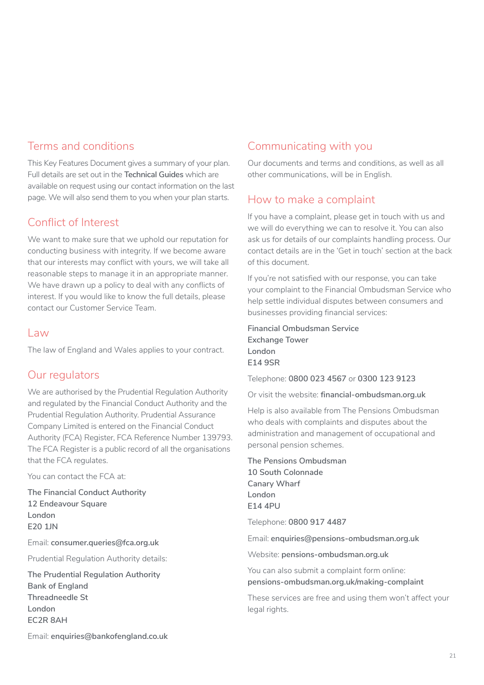# Terms and conditions

This Key Features Document gives a summary of your plan. Full details are set out in the **Technical Guides** which are available on request using our contact information on the last page. We will also send them to you when your plan starts.

# Conflict of Interest

We want to make sure that we uphold our reputation for conducting business with integrity. If we become aware that our interests may conflict with yours, we will take all reasonable steps to manage it in an appropriate manner. We have drawn up a policy to deal with any conflicts of interest. If you would like to know the full details, please contact our Customer Service Team.

### Law

The law of England and Wales applies to your contract.

# Our regulators

We are authorised by the Prudential Regulation Authority and regulated by the Financial Conduct Authority and the Prudential Regulation Authority. Prudential Assurance Company Limited is entered on the Financial Conduct Authority (FCA) Register, FCA Reference Number 139793. The FCA Register is a public record of all the organisations that the FCA regulates.

You can contact the FCA at:

**The Financial Conduct Authority 12 Endeavour Square London E20 1JN**

Email: **consumer.queries@fca.org.uk** 

Prudential Regulation Authority details:

**The Prudential Regulation Authority Bank of England Threadneedle St London EC2R 8AH** 

# Communicating with you

Our documents and terms and conditions, as well as all other communications, will be in English.

# How to make a complaint

If you have a complaint, please get in touch with us and we will do everything we can to resolve it. You can also ask us for details of our complaints handling process. Our contact details are in the 'Get in touch' section at the back of this document.

If you're not satisfied with our response, you can take your complaint to the Financial Ombudsman Service who help settle individual disputes between consumers and businesses providing financial services:

**Financial Ombudsman Service Exchange Tower London E14 9SR**

Telephone: **0800 023 4567** or **0300 123 9123**

Or visit the website: **[financial-ombudsman.org.uk](https://www.financial-ombudsman.org.uk/)**

Help is also available from The Pensions Ombudsman who deals with complaints and disputes about the administration and management of occupational and personal pension schemes.

**The Pensions Ombudsman 10 South Colonnade Canary Wharf London E14 4PU**

Telephone: **0800 917 4487**

Email: **enquiries@pensions-ombudsman.org.uk**

Website: **[pensions-ombudsman.org.uk](https://www.pensions-ombudsman.org.uk/)**

You can also submit a complaint form online: **[pensions-ombudsman.org.uk/making-complaint](https://www.pensions-ombudsman.org.uk/making-complaint)**

These services are free and using them won't affect your legal rights.

Email: **enquiries@bankofengland.co.uk**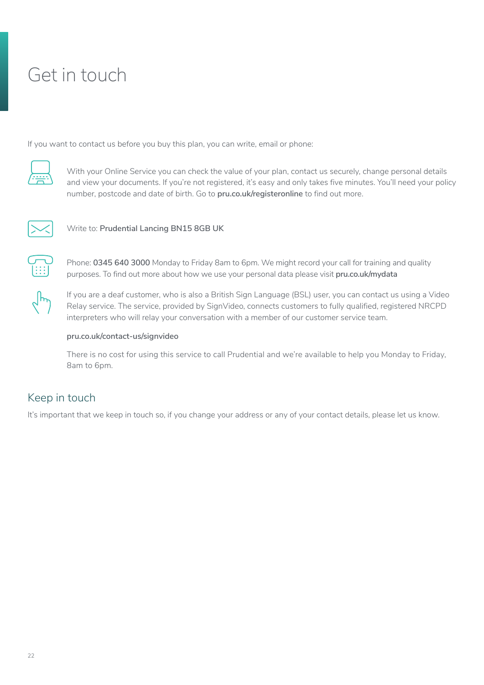# <span id="page-21-0"></span>Get in touch

If you want to contact us before you buy this plan, you can write, email or phone:



With your Online Service you can check the value of your plan, contact us securely, change personal details and view your documents. If you're not registered, it's easy and only takes five minutes. You'll need your policy number, postcode and date of birth. Go to **[pru.co.uk/registeronline](http://www.pru.co.uk/registeronline)** to find out more.



Write to: Prudential Lancing BN15 8GB UK



Phone: **0345 640 3000** Monday to Friday 8am to 6pm. We might record your call for training and quality purposes. To find out more about how we use your personal data please visit **[pru.co.uk/mydata](http://www.pru.co.uk/mydata.)**



If you are a deaf customer, who is also a British Sign Language (BSL) user, you can contact us using a Video Relay service. The service, provided by SignVideo, connects customers to fully qualified, registered NRCPD interpreters who will relay your conversation with a member of our customer service team.

#### **[pru.co.uk/contact-us/signvideo](https://www.pru.co.uk/contact-us/signvideo/)**

There is no cost for using this service to call Prudential and we're available to help you Monday to Friday, 8am to 6pm.

# Keep in touch

It's important that we keep in touch so, if you change your address or any of your contact details, please let us know.